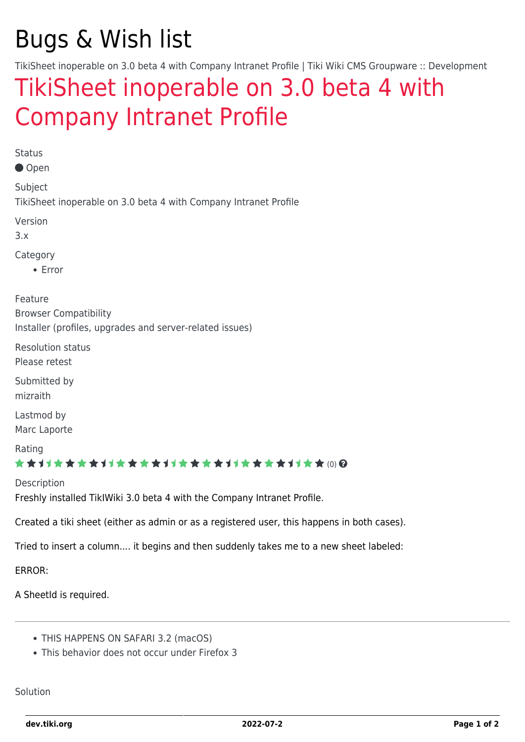# Bugs & Wish list

TikiSheet inoperable on 3.0 beta 4 with Company Intranet Profile | Tiki Wiki CMS Groupware :: Development

## [TikiSheet inoperable on 3.0 beta 4 with](https://dev.tiki.org/item2473-TikiSheet-inoperable-on-3-0-beta-4-with-Company-Intranet-Profile) [Company Intranet Profile](https://dev.tiki.org/item2473-TikiSheet-inoperable-on-3-0-beta-4-with-Company-Intranet-Profile)

Status

Open

Subject TikiSheet inoperable on 3.0 beta 4 with Company Intranet Profile

Version

3.x

Category

• Error

Feature

Browser Compatibility Installer (profiles, upgrades and server-related issues)

Resolution status

Please retest

Submitted by mizraith

Lastmod by Marc Laporte

Rating

#### ★★11★★★★11★★★★11★★★★11★★★★+11★★ (0) @

Description Freshly installed TikIWiki 3.0 beta 4 with the Company Intranet Profile.

Created a tiki sheet (either as admin or as a registered user, this happens in both cases).

Tried to insert a column.... it begins and then suddenly takes me to a new sheet labeled:

ERROR:

A SheetId is required.

- THIS HAPPENS ON SAFARI 3.2 (macOS)
- This behavior does not occur under Firefox 3

Solution